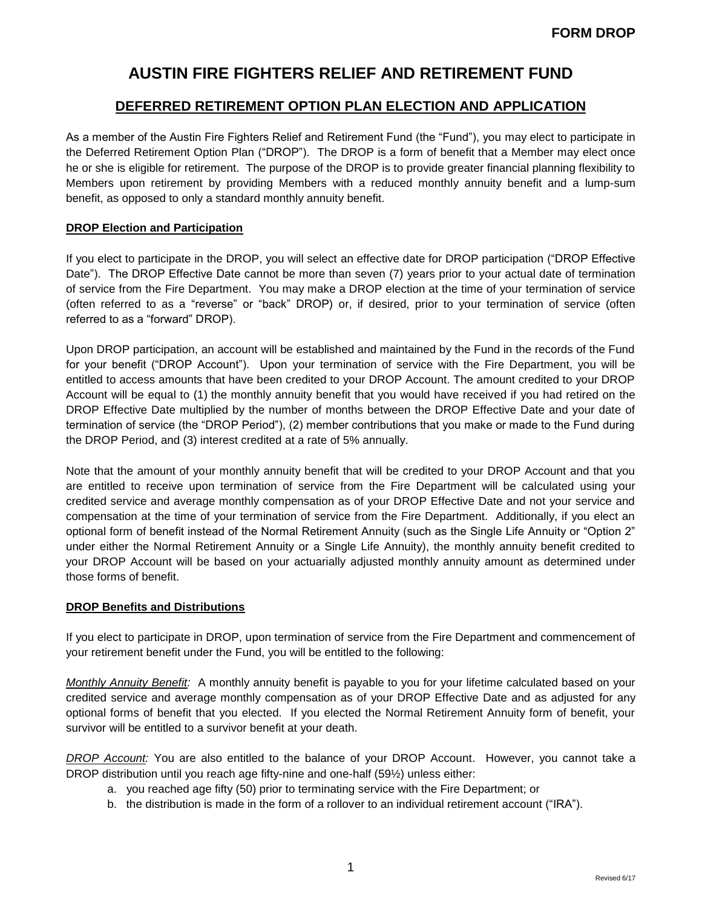## **DEFERRED RETIREMENT OPTION PLAN ELECTION AND APPLICATION**

As a member of the Austin Fire Fighters Relief and Retirement Fund (the "Fund"), you may elect to participate in the Deferred Retirement Option Plan ("DROP"). The DROP is a form of benefit that a Member may elect once he or she is eligible for retirement. The purpose of the DROP is to provide greater financial planning flexibility to Members upon retirement by providing Members with a reduced monthly annuity benefit and a lump-sum benefit, as opposed to only a standard monthly annuity benefit.

#### **DROP Election and Participation**

If you elect to participate in the DROP, you will select an effective date for DROP participation ("DROP Effective Date"). The DROP Effective Date cannot be more than seven (7) years prior to your actual date of termination of service from the Fire Department. You may make a DROP election at the time of your termination of service (often referred to as a "reverse" or "back" DROP) or, if desired, prior to your termination of service (often referred to as a "forward" DROP).

Upon DROP participation, an account will be established and maintained by the Fund in the records of the Fund for your benefit ("DROP Account"). Upon your termination of service with the Fire Department, you will be entitled to access amounts that have been credited to your DROP Account. The amount credited to your DROP Account will be equal to (1) the monthly annuity benefit that you would have received if you had retired on the DROP Effective Date multiplied by the number of months between the DROP Effective Date and your date of termination of service (the "DROP Period"), (2) member contributions that you make or made to the Fund during the DROP Period, and (3) interest credited at a rate of 5% annually.

Note that the amount of your monthly annuity benefit that will be credited to your DROP Account and that you are entitled to receive upon termination of service from the Fire Department will be calculated using your credited service and average monthly compensation as of your DROP Effective Date and not your service and compensation at the time of your termination of service from the Fire Department. Additionally, if you elect an optional form of benefit instead of the Normal Retirement Annuity (such as the Single Life Annuity or "Option 2" under either the Normal Retirement Annuity or a Single Life Annuity), the monthly annuity benefit credited to your DROP Account will be based on your actuarially adjusted monthly annuity amount as determined under those forms of benefit.

#### **DROP Benefits and Distributions**

If you elect to participate in DROP, upon termination of service from the Fire Department and commencement of your retirement benefit under the Fund, you will be entitled to the following:

*Monthly Annuity Benefit:* A monthly annuity benefit is payable to you for your lifetime calculated based on your credited service and average monthly compensation as of your DROP Effective Date and as adjusted for any optional forms of benefit that you elected. If you elected the Normal Retirement Annuity form of benefit, your survivor will be entitled to a survivor benefit at your death.

*DROP Account:* You are also entitled to the balance of your DROP Account. However, you cannot take a DROP distribution until you reach age fifty-nine and one-half (59½) unless either:

- a. you reached age fifty (50) prior to terminating service with the Fire Department; or
- b. the distribution is made in the form of a rollover to an individual retirement account ("IRA").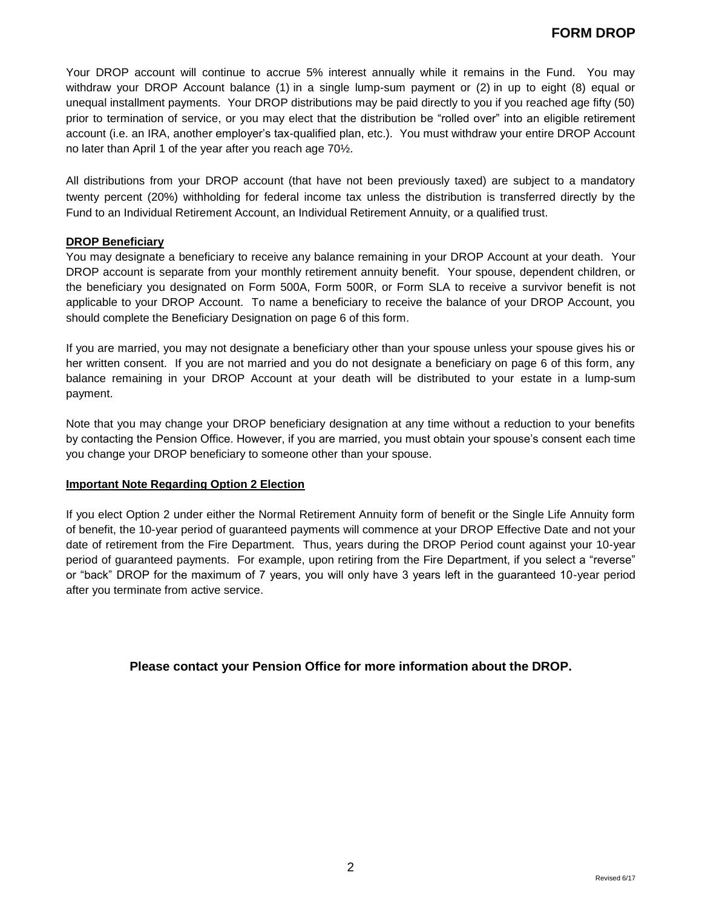Your DROP account will continue to accrue 5% interest annually while it remains in the Fund. You may withdraw your DROP Account balance (1) in a single lump-sum payment or (2) in up to eight (8) equal or unequal installment payments. Your DROP distributions may be paid directly to you if you reached age fifty (50) prior to termination of service, or you may elect that the distribution be "rolled over" into an eligible retirement account (i.e. an IRA, another employer's tax-qualified plan, etc.). You must withdraw your entire DROP Account no later than April 1 of the year after you reach age 70½.

All distributions from your DROP account (that have not been previously taxed) are subject to a mandatory twenty percent (20%) withholding for federal income tax unless the distribution is transferred directly by the Fund to an Individual Retirement Account, an Individual Retirement Annuity, or a qualified trust.

#### **DROP Beneficiary**

You may designate a beneficiary to receive any balance remaining in your DROP Account at your death. Your DROP account is separate from your monthly retirement annuity benefit. Your spouse, dependent children, or the beneficiary you designated on Form 500A, Form 500R, or Form SLA to receive a survivor benefit is not applicable to your DROP Account. To name a beneficiary to receive the balance of your DROP Account, you should complete the Beneficiary Designation on page 6 of this form.

If you are married, you may not designate a beneficiary other than your spouse unless your spouse gives his or her written consent. If you are not married and you do not designate a beneficiary on page 6 of this form, any balance remaining in your DROP Account at your death will be distributed to your estate in a lump-sum payment.

Note that you may change your DROP beneficiary designation at any time without a reduction to your benefits by contacting the Pension Office. However, if you are married, you must obtain your spouse's consent each time you change your DROP beneficiary to someone other than your spouse.

#### **Important Note Regarding Option 2 Election**

If you elect Option 2 under either the Normal Retirement Annuity form of benefit or the Single Life Annuity form of benefit, the 10-year period of guaranteed payments will commence at your DROP Effective Date and not your date of retirement from the Fire Department. Thus, years during the DROP Period count against your 10-year period of guaranteed payments. For example, upon retiring from the Fire Department, if you select a "reverse" or "back" DROP for the maximum of 7 years, you will only have 3 years left in the guaranteed 10-year period after you terminate from active service.

## **Please contact your Pension Office for more information about the DROP.**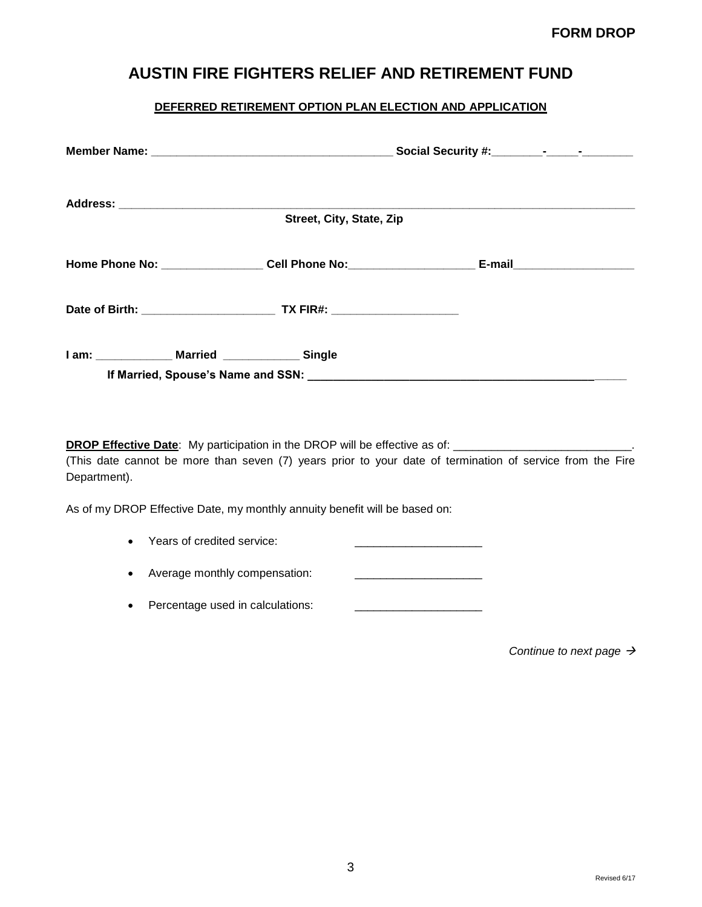## **DEFERRED RETIREMENT OPTION PLAN ELECTION AND APPLICATION**

|                                                                                                                  | Street, City, State, Zip |                              |  |
|------------------------------------------------------------------------------------------------------------------|--------------------------|------------------------------|--|
| Home Phone No: ___________________Cell Phone No: _______________________________                                 |                          | E-mail______________________ |  |
|                                                                                                                  |                          |                              |  |
| If Married, Spouse's Name and SSN: North State of Song Section 1.1 (1995) 1986. The Maria State of Maria State S |                          |                              |  |

DROP Effective Date: My participation in the DROP will be effective as of: \_\_\_\_\_\_\_\_\_\_\_\_\_\_\_\_\_\_\_\_\_\_\_\_\_\_\_\_\_\_\_\_.

(This date cannot be more than seven (7) years prior to your date of termination of service from the Fire Department).

As of my DROP Effective Date, my monthly annuity benefit will be based on:

| Years of credited service: |  |
|----------------------------|--|
|                            |  |

Average monthly compensation: \_\_\_\_\_\_\_\_\_\_\_\_\_\_\_\_\_\_\_\_

• Percentage used in calculations:

*Continue to next page*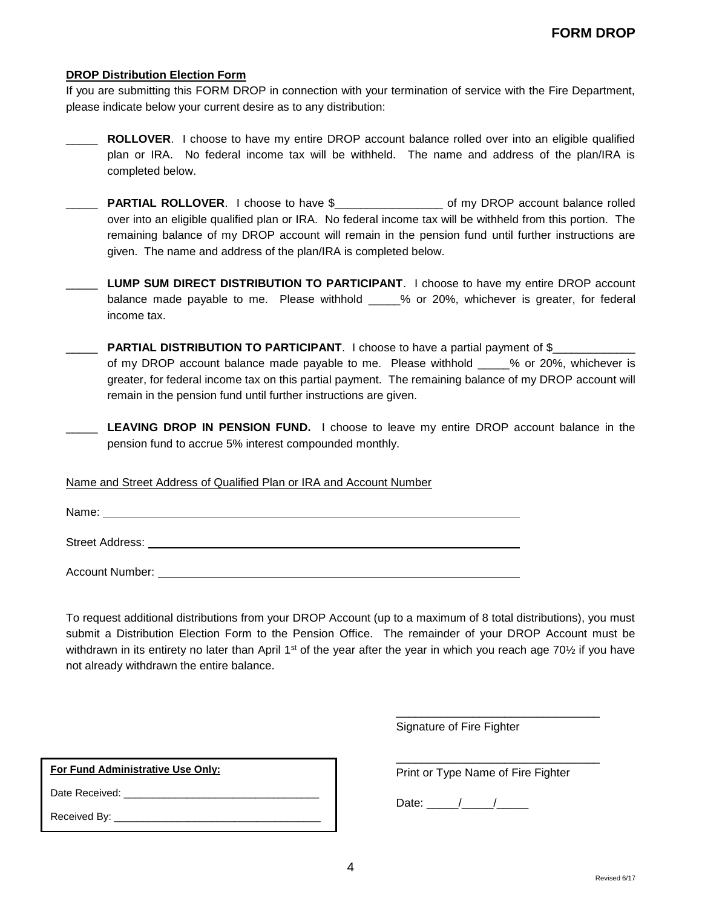#### **DROP Distribution Election Form**

If you are submitting this FORM DROP in connection with your termination of service with the Fire Department, please indicate below your current desire as to any distribution:

- **ROLLOVER.** I choose to have my entire DROP account balance rolled over into an eligible qualified plan or IRA. No federal income tax will be withheld. The name and address of the plan/IRA is completed below.
- \_\_\_\_\_ **PARTIAL ROLLOVER**. I choose to have \$\_\_\_\_\_\_\_\_\_\_\_\_\_\_\_\_\_ of my DROP account balance rolled over into an eligible qualified plan or IRA. No federal income tax will be withheld from this portion. The remaining balance of my DROP account will remain in the pension fund until further instructions are given. The name and address of the plan/IRA is completed below.
- \_\_\_\_\_ **LUMP SUM DIRECT DISTRIBUTION TO PARTICIPANT**. I choose to have my entire DROP account balance made payable to me. Please withhold \_\_\_\_% or 20%, whichever is greater, for federal income tax.
- **PARTIAL DISTRIBUTION TO PARTICIPANT**. I choose to have a partial payment of \$ of my DROP account balance made payable to me. Please withhold \_\_\_\_\_% or 20%, whichever is greater, for federal income tax on this partial payment. The remaining balance of my DROP account will remain in the pension fund until further instructions are given.
- \_\_\_\_\_ **LEAVING DROP IN PENSION FUND.** I choose to leave my entire DROP account balance in the pension fund to accrue 5% interest compounded monthly.

#### Name and Street Address of Qualified Plan or IRA and Account Number

Name:

Street Address:

Account Number: **Account Number: Account Number: Account Number: Account Number: Account Number: Account Number: Account Number: Account Number: Account Number: Account Number: Account Number: Account** 

To request additional distributions from your DROP Account (up to a maximum of 8 total distributions), you must submit a Distribution Election Form to the Pension Office. The remainder of your DROP Account must be withdrawn in its entirety no later than April 1<sup>st</sup> of the year after the year in which you reach age 70 $\frac{1}{2}$  if you have not already withdrawn the entire balance.

Signature of Fire Fighter

| For Fund Administrative Use Only: |  |  |
|-----------------------------------|--|--|
| Date Received:                    |  |  |
| Received By:                      |  |  |

Print or Type Name of Fire Fighter

\_\_\_\_\_\_\_\_\_\_\_\_\_\_\_\_\_\_\_\_\_\_\_\_\_\_\_\_\_\_\_\_

\_\_\_\_\_\_\_\_\_\_\_\_\_\_\_\_\_\_\_\_\_\_\_\_\_\_\_\_\_\_\_\_

Date:  $\frac{1}{2}$  /  $\frac{1}{2}$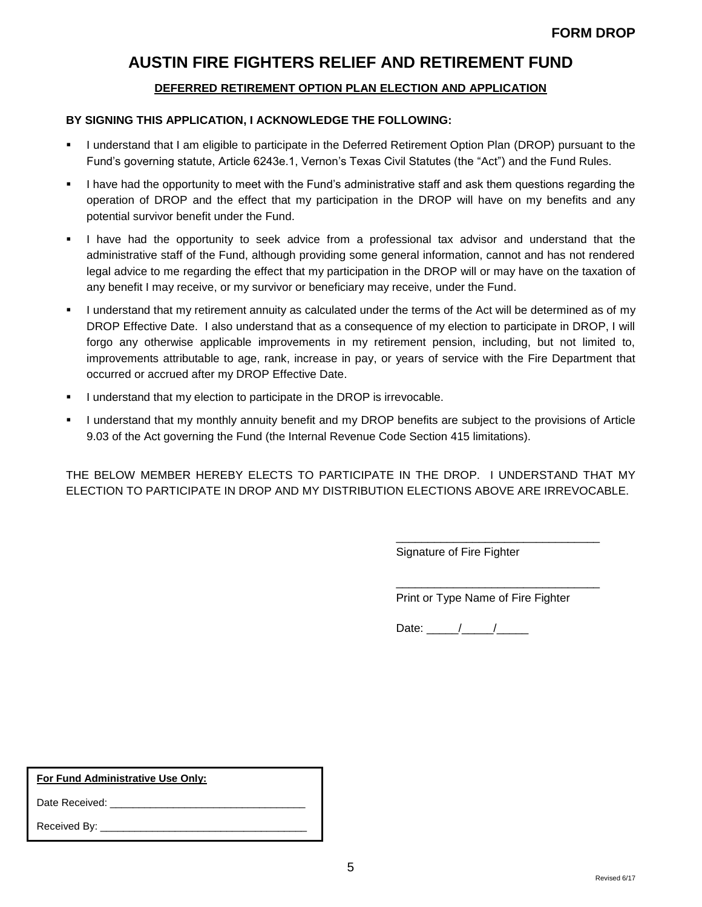## **DEFERRED RETIREMENT OPTION PLAN ELECTION AND APPLICATION**

## **BY SIGNING THIS APPLICATION, I ACKNOWLEDGE THE FOLLOWING:**

- I understand that I am eligible to participate in the Deferred Retirement Option Plan (DROP) pursuant to the Fund's governing statute, Article 6243e.1, Vernon's Texas Civil Statutes (the "Act") and the Fund Rules.
- I have had the opportunity to meet with the Fund's administrative staff and ask them questions regarding the operation of DROP and the effect that my participation in the DROP will have on my benefits and any potential survivor benefit under the Fund.
- I have had the opportunity to seek advice from a professional tax advisor and understand that the administrative staff of the Fund, although providing some general information, cannot and has not rendered legal advice to me regarding the effect that my participation in the DROP will or may have on the taxation of any benefit I may receive, or my survivor or beneficiary may receive, under the Fund.
- I understand that my retirement annuity as calculated under the terms of the Act will be determined as of my DROP Effective Date. I also understand that as a consequence of my election to participate in DROP, I will forgo any otherwise applicable improvements in my retirement pension, including, but not limited to, improvements attributable to age, rank, increase in pay, or years of service with the Fire Department that occurred or accrued after my DROP Effective Date.
- **I** understand that my election to participate in the DROP is irrevocable.
- I understand that my monthly annuity benefit and my DROP benefits are subject to the provisions of Article 9.03 of the Act governing the Fund (the Internal Revenue Code Section 415 limitations).

THE BELOW MEMBER HEREBY ELECTS TO PARTICIPATE IN THE DROP. I UNDERSTAND THAT MY ELECTION TO PARTICIPATE IN DROP AND MY DISTRIBUTION ELECTIONS ABOVE ARE IRREVOCABLE.

Signature of Fire Fighter

Print or Type Name of Fire Fighter

\_\_\_\_\_\_\_\_\_\_\_\_\_\_\_\_\_\_\_\_\_\_\_\_\_\_\_\_\_\_\_\_

\_\_\_\_\_\_\_\_\_\_\_\_\_\_\_\_\_\_\_\_\_\_\_\_\_\_\_\_\_\_\_\_

Date: / /

**For Fund Administrative Use Only:** 

Date Received: \_\_\_\_\_\_\_\_\_\_\_\_\_\_\_\_\_\_\_\_\_\_\_\_\_\_\_\_\_\_\_\_\_\_

Received By: \_\_\_\_\_\_\_\_\_\_\_\_\_\_\_\_\_\_\_\_\_\_\_\_\_\_\_\_\_\_\_\_\_\_\_\_